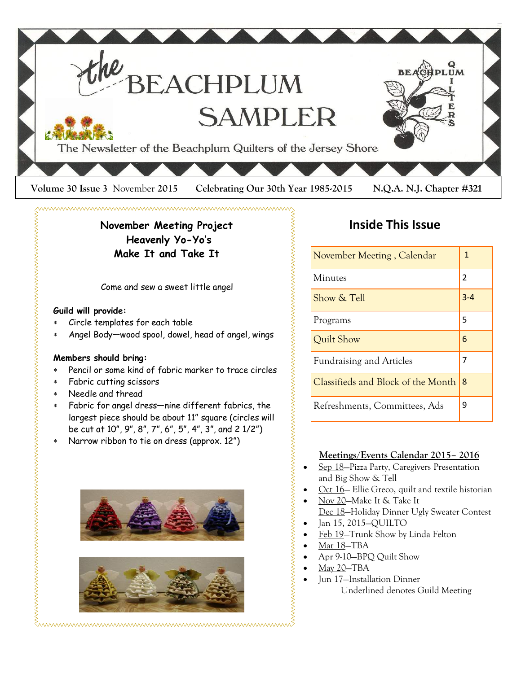

**November Meeting Project Heavenly Yo-Yo's Make It and Take It**

Come and sew a sweet little angel

### **Guild will provide:**

- Circle templates for each table
- Angel Body—wood spool, dowel, head of angel, wings

### **Members should bring:**

- Pencil or some kind of fabric marker to trace circles
- Fabric cutting scissors
- Needle and thread
- Fabric for angel dress—nine different fabrics, the largest piece should be about 11" square (circles will be cut at 10", 9", 8", 7", 6", 5", 4", 3", and 2 1/2")
- Narrow ribbon to tie on dress (approx. 12")





### **Inside This Issue**

| November Meeting, Calendar         | 1       |
|------------------------------------|---------|
| Minutes                            | 2       |
| Show & Tell                        | $3 - 4$ |
| Programs                           | 5       |
| Quilt Show                         | 6       |
| <b>Fundraising and Articles</b>    | 7       |
| Classifieds and Block of the Month | 18      |
| Refreshments, Committees, Ads      | g       |

### **Meetings/Events Calendar 2015– 2016**

- Sep 18—Pizza Party, Caregivers Presentation and Big Show & Tell
- Oct 16- Ellie Greco, quilt and textile historian
- Nov 20—Make It & Take It
- Dec 18—Holiday Dinner Ugly Sweater Contest
- Jan 15, 2015—QUILTO
- Feb 19—Trunk Show by Linda Felton
- Mar 18—TBA
- Apr 9-10—BPQ Quilt Show
- May 20—TBA
- Jun 17—Installation Dinner Underlined denotes Guild Meeting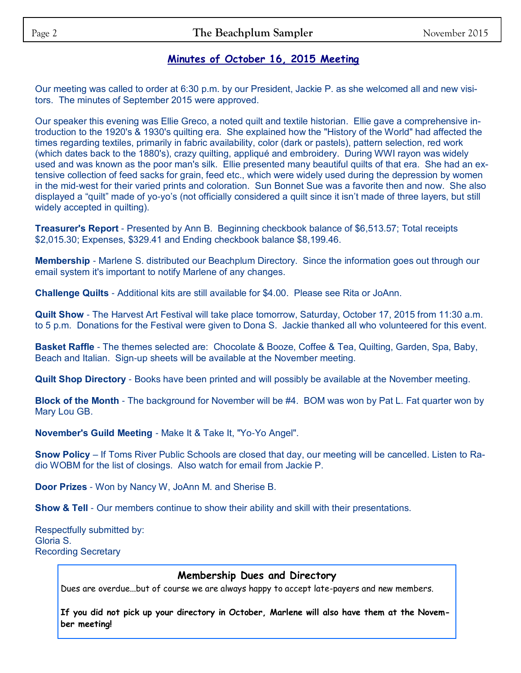### **Minutes of October 16, 2015 Meeting**

Our meeting was called to order at 6:30 p.m. by our President, Jackie P. as she welcomed all and new visitors. The minutes of September 2015 were approved.

Our speaker this evening was Ellie Greco, a noted quilt and textile historian. Ellie gave a comprehensive introduction to the 1920's & 1930's quilting era. She explained how the "History of the World" had affected the times regarding textiles, primarily in fabric availability, color (dark or pastels), pattern selection, red work (which dates back to the 1880's), crazy quilting, appliqué and embroidery. During WWI rayon was widely used and was known as the poor man's silk. Ellie presented many beautiful quilts of that era. She had an extensive collection of feed sacks for grain, feed etc., which were widely used during the depression by women in the mid-west for their varied prints and coloration. Sun Bonnet Sue was a favorite then and now. She also displayed a "quilt" made of yo-yo's (not officially considered a quilt since it isn't made of three layers, but still widely accepted in quilting).

**Treasurer's Report** - Presented by Ann B. Beginning checkbook balance of \$6,513.57; Total receipts \$2,015.30; Expenses, \$329.41 and Ending checkbook balance \$8,199.46.

**Membership** - Marlene S. distributed our Beachplum Directory. Since the information goes out through our email system it's important to notify Marlene of any changes.

**Challenge Quilts** - Additional kits are still available for \$4.00. Please see Rita or JoAnn.

**Quilt Show** - The Harvest Art Festival will take place tomorrow, Saturday, October 17, 2015 from 11:30 a.m. to 5 p.m. Donations for the Festival were given to Dona S. Jackie thanked all who volunteered for this event.

**Basket Raffle** - The themes selected are: Chocolate & Booze, Coffee & Tea, Quilting, Garden, Spa, Baby, Beach and Italian. Sign-up sheets will be available at the November meeting.

**Quilt Shop Directory** - Books have been printed and will possibly be available at the November meeting.

**Block of the Month** - The background for November will be #4. BOM was won by Pat L. Fat quarter won by Mary Lou GB.

**November's Guild Meeting** - Make It & Take It, "Yo-Yo Angel".

**Snow Policy** – If Toms River Public Schools are closed that day, our meeting will be cancelled. Listen to Radio WOBM for the list of closings. Also watch for email from Jackie P.

**Door Prizes** - Won by Nancy W, JoAnn M. and Sherise B.

**Show & Tell** - Our members continue to show their ability and skill with their presentations.

Respectfully submitted by: Gloria S. Recording Secretary

### **Membership Dues and Directory**

Dues are overdue...but of course we are always happy to accept late-payers and new members.

**If you did not pick up your directory in October, Marlene will also have them at the November meeting!**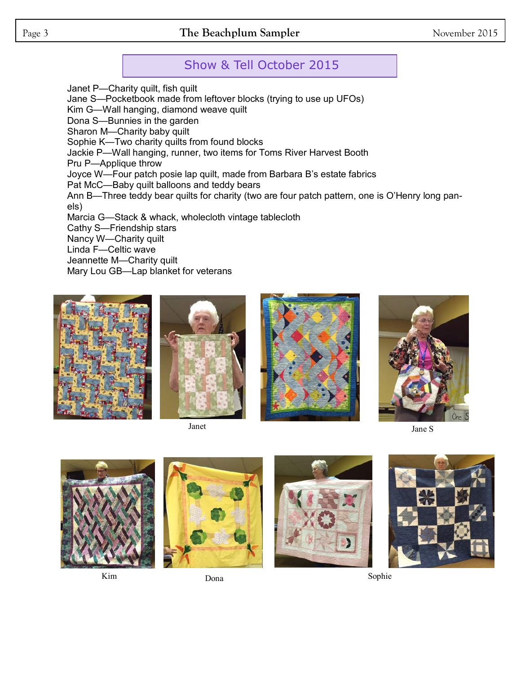### Page 3 **The Beachplum Sampler** November 2015

### Show & Tell October 2015

Janet P—Charity quilt, fish quilt Jane S—Pocketbook made from leftover blocks (trying to use up UFOs) Kim G—Wall hanging, diamond weave quilt Dona S—Bunnies in the garden Sharon M—Charity baby quilt Sophie K—Two charity quilts from found blocks Jackie P—Wall hanging, runner, two items for Toms River Harvest Booth Pru P—Applique throw Joyce W—Four patch posie lap quilt, made from Barbara B's estate fabrics Pat McC—Baby quilt balloons and teddy bears Ann B—Three teddy bear quilts for charity (two are four patch pattern, one is O'Henry long panels) Marcia G—Stack & whack, wholecloth vintage tablecloth Cathy S—Friendship stars Nancy W—Charity quilt Linda F—Celtic wave Jeannette M—Charity quilt Mary Lou GB—Lap blanket for veterans















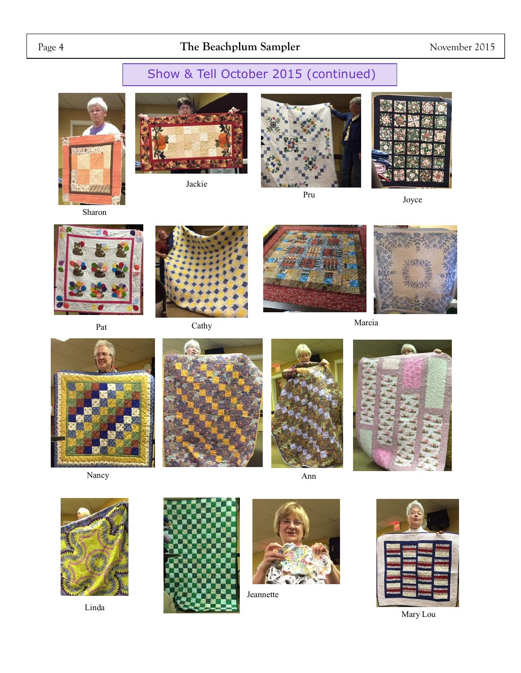## Page 4 **The Beachplum Sampler** November 2015

# Show & Tell October 2015 (continued)



Sharon



Jackie





Pru Joyce



Pat



Cathy





Marcia













Linda





Jeannette



Mary Lou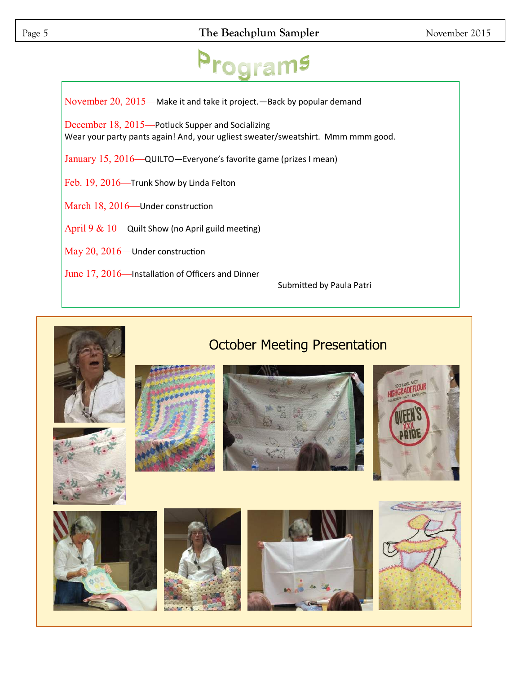November 20, 2015—Make it and take it project.—Back by popular demand December 18, 2015—Potluck Supper and Socializing Wear your party pants again! And, your ugliest sweater/sweatshirt. Mmm mmm good. January 15, 2016—QUILTO—Everyone's favorite game (prizes I mean) Feb. 19, 2016—Trunk Show by Linda Felton March 18, 2016—Under construction April 9  $& 10$ —Quilt Show (no April guild meeting) May 20, 2016—Under construction June 17, 2016—Installation of Officers and Dinner Submitted by Paula Patri

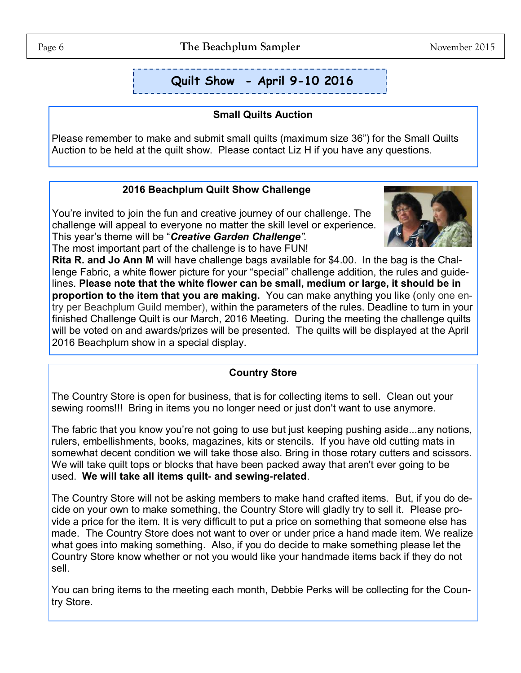# **Quilt Show - April 9-10 2016**

### **Small Quilts Auction**

Please remember to make and submit small quilts (maximum size 36") for the Small Quilts Auction to be held at the quilt show. Please contact Liz H if you have any questions.

### **2016 Beachplum Quilt Show Challenge**

You're invited to join the fun and creative journey of our challenge. The challenge will appeal to everyone no matter the skill level or experience. This year's theme will be "*Creative Garden Challenge".* 



The most important part of the challenge is to have FUN!

**Rita R. and Jo Ann M** will have challenge bags available for \$4.00. In the bag is the Challenge Fabric, a white flower picture for your "special" challenge addition, the rules and guidelines. **Please note that the white flower can be small, medium or large, it should be in proportion to the item that you are making.** You can make anything you like (only one entry per Beachplum Guild member), within the parameters of the rules. Deadline to turn in your finished Challenge Quilt is our March, 2016 Meeting. During the meeting the challenge quilts will be voted on and awards/prizes will be presented. The quilts will be displayed at the April 2016 Beachplum show in a special display.

### **Country Store**

The Country Store is open for business, that is for collecting items to sell. Clean out your sewing rooms!!! Bring in items you no longer need or just don't want to use anymore.

The fabric that you know you're not going to use but just keeping pushing aside...any notions, rulers, embellishments, books, magazines, kits or stencils. If you have old cutting mats in somewhat decent condition we will take those also. Bring in those rotary cutters and scissors. We will take quilt tops or blocks that have been packed away that aren't ever going to be used. **We will take all items quilt- and sewing-related**.

The Country Store will not be asking members to make hand crafted items. But, if you do decide on your own to make something, the Country Store will gladly try to sell it. Please provide a price for the item. It is very difficult to put a price on something that someone else has made. The Country Store does not want to over or under price a hand made item. We realize what goes into making something. Also, if you do decide to make something please let the Country Store know whether or not you would like your handmade items back if they do not sell.

You can bring items to the meeting each month, Debbie Perks will be collecting for the Country Store.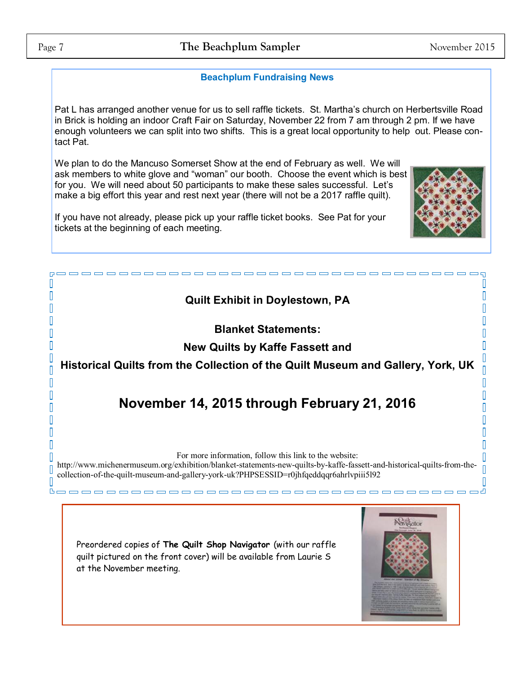r. I

Π

 $\overline{\mathbb{I}}$ 

П  $\overline{\Pi}$ 

 $\overline{\Pi}$ 

П

П I

П

 $\overline{\mathbb{I}}$ 

 $\overline{\mathbb{I}}$ 

 $\overline{\Pi}$ 

 $\mathbb{I}$ Л

 $B \rightarrow c$ 

### **Beachplum Fundraising News**

Pat L has arranged another venue for us to sell raffle tickets. St. Martha's church on Herbertsville Road in Brick is holding an indoor Craft Fair on Saturday, November 22 from 7 am through 2 pm. If we have enough volunteers we can split into two shifts. This is a great local opportunity to help out. Please contact Pat.

We plan to do the Mancuso Somerset Show at the end of February as well. We will ask members to white glove and "woman" our booth. Choose the event which is best for you. We will need about 50 participants to make these sales successful. Let's make a big effort this year and rest next year (there will not be a 2017 raffle quilt).

If you have not already, please pick up your raffle ticket books. See Pat for your tickets at the beginning of each meeting.

### **Quilt Exhibit in Doylestown, PA**

### **Blanket Statements:**

**New Quilts by Kaffe Fassett and** 

**Historical Quilts from the Collection of the Quilt Museum and Gallery, York, UK**

# **November 14, 2015 through February 21, 2016**

For more information, follow this link to the website:

http://www.michenermuseum.org/exhibition/blanket-statements-new-quilts-by-kaffe-fassett-and-historical-quilts-from-thecollection-of-the-quilt-museum-and-gallery-york-uk?PHPSESSID=r0jhfqeddqqr6ahrlvpiii5l92

Preordered copies of **The Quilt Shop Navigator** (with our raffle quilt pictured on the front cover) will be available from Laurie S at the November meeting.



----------



 $\Box$ 

I

 $\begin{bmatrix} 1 \\ 2 \end{bmatrix}$ 

 $[] \centering \includegraphics[width=0.47\textwidth]{images/TrDiM1.png} \caption{The 3D (blue) and 4D (blue) are shown in the left panel.} \label{TrDiM1.png}$ 

Ī

 $\overline{\mathbb{I}}$  $\begin{bmatrix} 1 \\ 2 \end{bmatrix}$ 

 $\overline{\mathbb{I}}$ 

 $\Box$  $\overline{\mathbb{I}}$ 

 $\overline{\mathbb{I}}$ 

 $\overline{\mathbb{I}}$ 

 $\overline{\mathbb{I}}$ 

 $\overline{\mathbb{I}}$ 

O  $\overline{\mathbb{I}}$ П

 $- = - - - 4$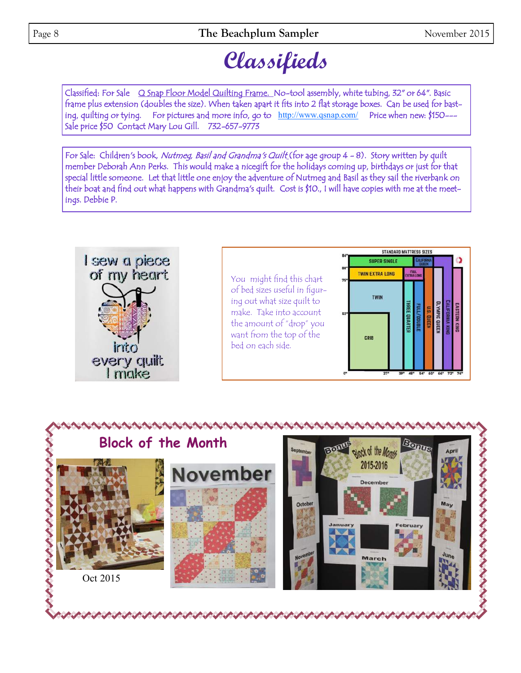# **Classifieds**

Classified: For Sale Q Snap Floor Model Quilting Frame. No-tool assembly, white tubing, 32" or 64". Basic frame plus extension (doubles the size). When taken apart it fits into 2 flat storage boxes. Can be used for basting, quilting or tying. For pictures and more info, go to <http://www.qsnap.com/> Price when new: \$150---Sale price \$50 Contact Mary Lou Gill. 732-657-9773

For Sale: Children's book, Nutmeg, Basil and Grandma's Quilt (for age group 4 - 8). Story written by quilt member Deborah Ann Perks. This would make a nicegift for the holidays coming up, birthdays or just for that special little someone. Let that little one enjoy the adventure of Nutmeg and Basil as they sail the riverbank on their boat and find out what happens with Grandma's quilt. Cost is \$10., I will have copies with me at the meetings. Debbie P.